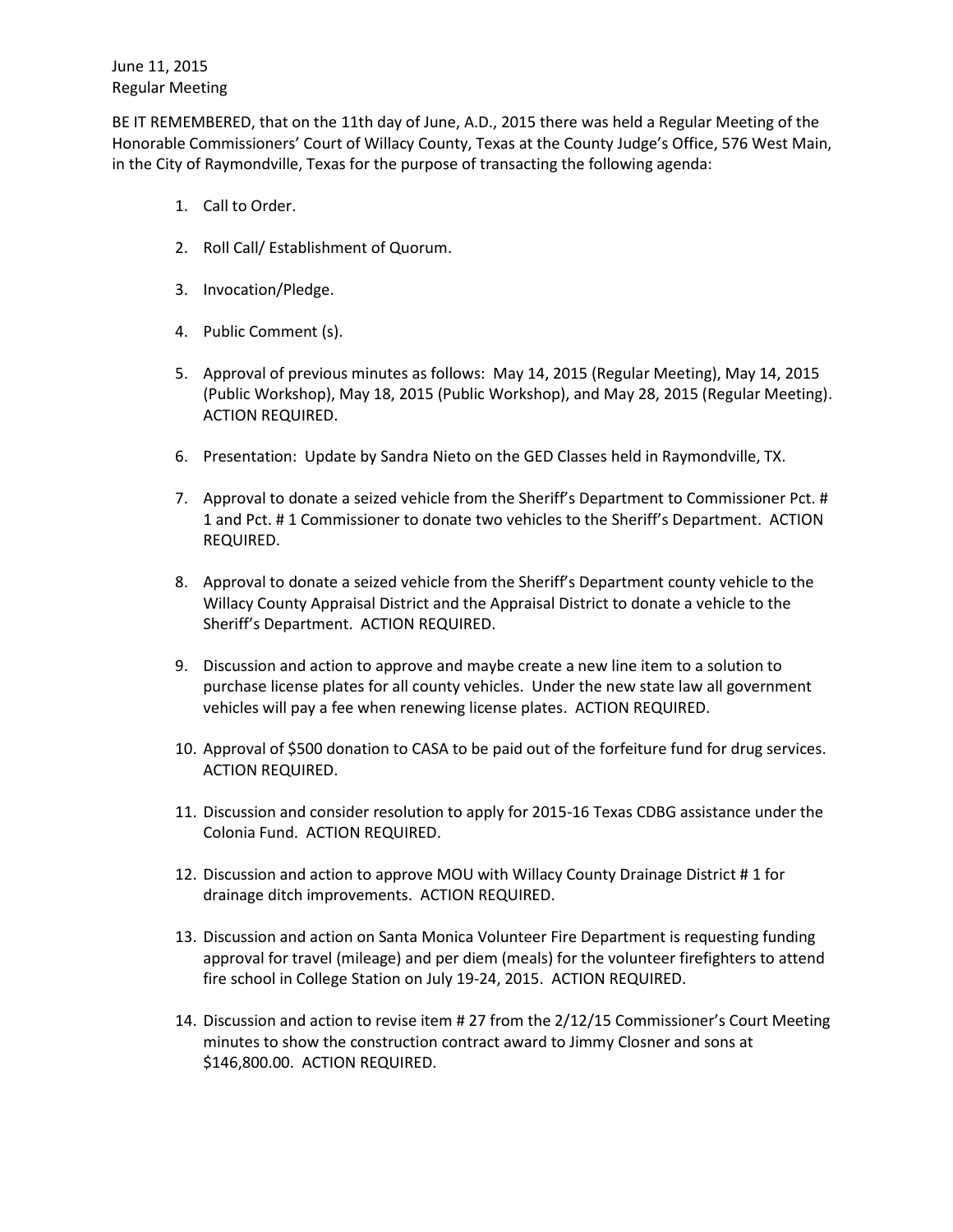BE IT REMEMBERED, that on the 11th day of June, A.D., 2015 there was held a Regular Meeting of the Honorable Commissioners' Court of Willacy County, Texas at the County Judge's Office, 576 West Main, in the City of Raymondville, Texas for the purpose of transacting the following agenda:

- 1. Call to Order.
- 2. Roll Call/ Establishment of Quorum.
- 3. Invocation/Pledge.
- 4. Public Comment (s).
- 5. Approval of previous minutes as follows: May 14, 2015 (Regular Meeting), May 14, 2015 (Public Workshop), May 18, 2015 (Public Workshop), and May 28, 2015 (Regular Meeting). ACTION REQUIRED.
- 6. Presentation: Update by Sandra Nieto on the GED Classes held in Raymondville, TX.
- 7. Approval to donate a seized vehicle from the Sheriff's Department to Commissioner Pct. # 1 and Pct. # 1 Commissioner to donate two vehicles to the Sheriff's Department. ACTION REQUIRED.
- 8. Approval to donate a seized vehicle from the Sheriff's Department county vehicle to the Willacy County Appraisal District and the Appraisal District to donate a vehicle to the Sheriff's Department. ACTION REQUIRED.
- 9. Discussion and action to approve and maybe create a new line item to a solution to purchase license plates for all county vehicles. Under the new state law all government vehicles will pay a fee when renewing license plates. ACTION REQUIRED.
- 10. Approval of \$500 donation to CASA to be paid out of the forfeiture fund for drug services. ACTION REQUIRED.
- 11. Discussion and consider resolution to apply for 2015-16 Texas CDBG assistance under the Colonia Fund. ACTION REQUIRED.
- 12. Discussion and action to approve MOU with Willacy County Drainage District # 1 for drainage ditch improvements. ACTION REQUIRED.
- 13. Discussion and action on Santa Monica Volunteer Fire Department is requesting funding approval for travel (mileage) and per diem (meals) for the volunteer firefighters to attend fire school in College Station on July 19-24, 2015. ACTION REQUIRED.
- 14. Discussion and action to revise item # 27 from the 2/12/15 Commissioner's Court Meeting minutes to show the construction contract award to Jimmy Closner and sons at \$146,800.00. ACTION REQUIRED.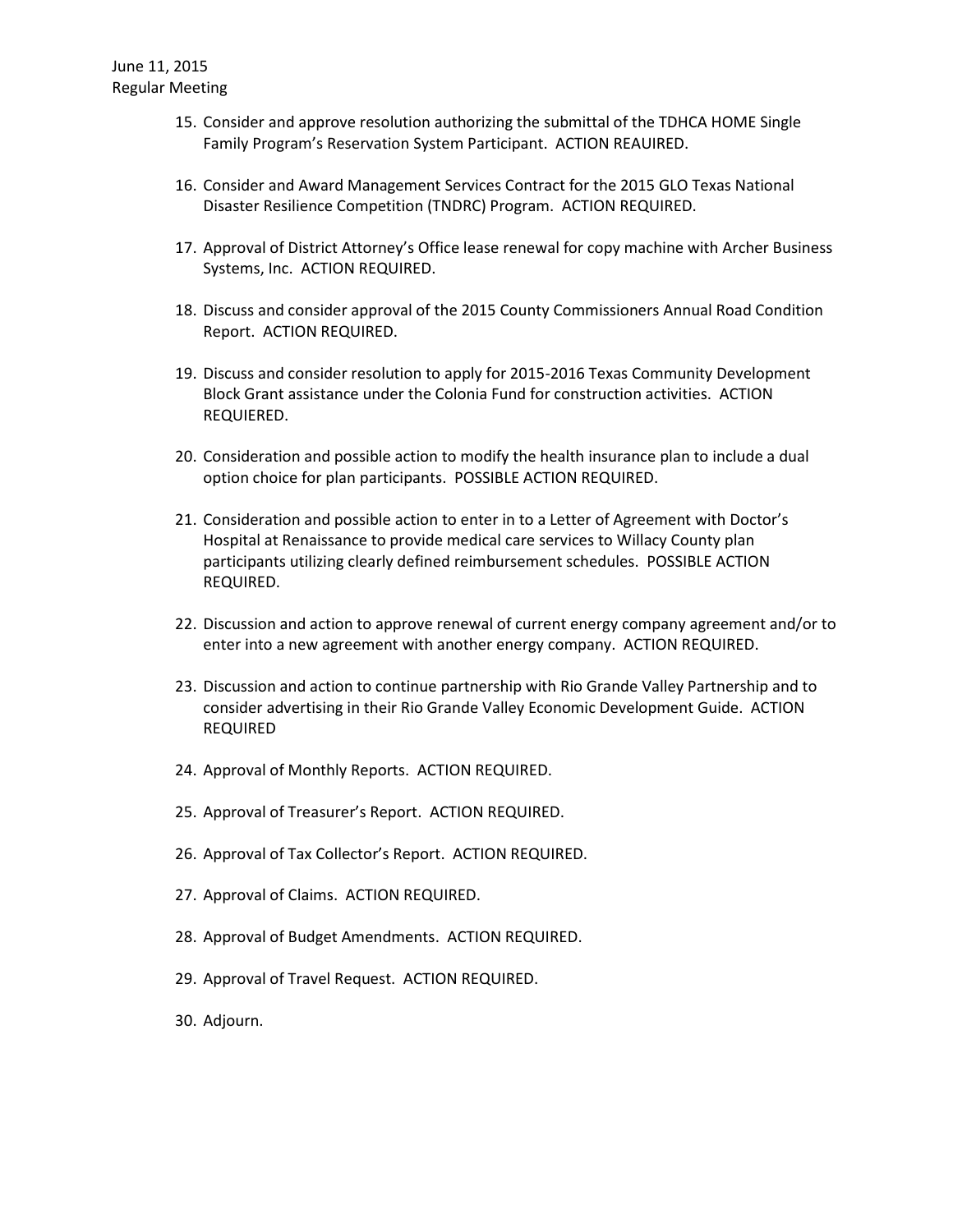- 15. Consider and approve resolution authorizing the submittal of the TDHCA HOME Single Family Program's Reservation System Participant. ACTION REAUIRED.
- 16. Consider and Award Management Services Contract for the 2015 GLO Texas National Disaster Resilience Competition (TNDRC) Program. ACTION REQUIRED.
- 17. Approval of District Attorney's Office lease renewal for copy machine with Archer Business Systems, Inc. ACTION REQUIRED.
- 18. Discuss and consider approval of the 2015 County Commissioners Annual Road Condition Report. ACTION REQUIRED.
- 19. Discuss and consider resolution to apply for 2015-2016 Texas Community Development Block Grant assistance under the Colonia Fund for construction activities. ACTION REQUIERED.
- 20. Consideration and possible action to modify the health insurance plan to include a dual option choice for plan participants. POSSIBLE ACTION REQUIRED.
- 21. Consideration and possible action to enter in to a Letter of Agreement with Doctor's Hospital at Renaissance to provide medical care services to Willacy County plan participants utilizing clearly defined reimbursement schedules. POSSIBLE ACTION REQUIRED.
- 22. Discussion and action to approve renewal of current energy company agreement and/or to enter into a new agreement with another energy company. ACTION REQUIRED.
- 23. Discussion and action to continue partnership with Rio Grande Valley Partnership and to consider advertising in their Rio Grande Valley Economic Development Guide. ACTION REQUIRED
- 24. Approval of Monthly Reports. ACTION REQUIRED.
- 25. Approval of Treasurer's Report. ACTION REQUIRED.
- 26. Approval of Tax Collector's Report. ACTION REQUIRED.
- 27. Approval of Claims. ACTION REQUIRED.
- 28. Approval of Budget Amendments. ACTION REQUIRED.
- 29. Approval of Travel Request. ACTION REQUIRED.
- 30. Adjourn.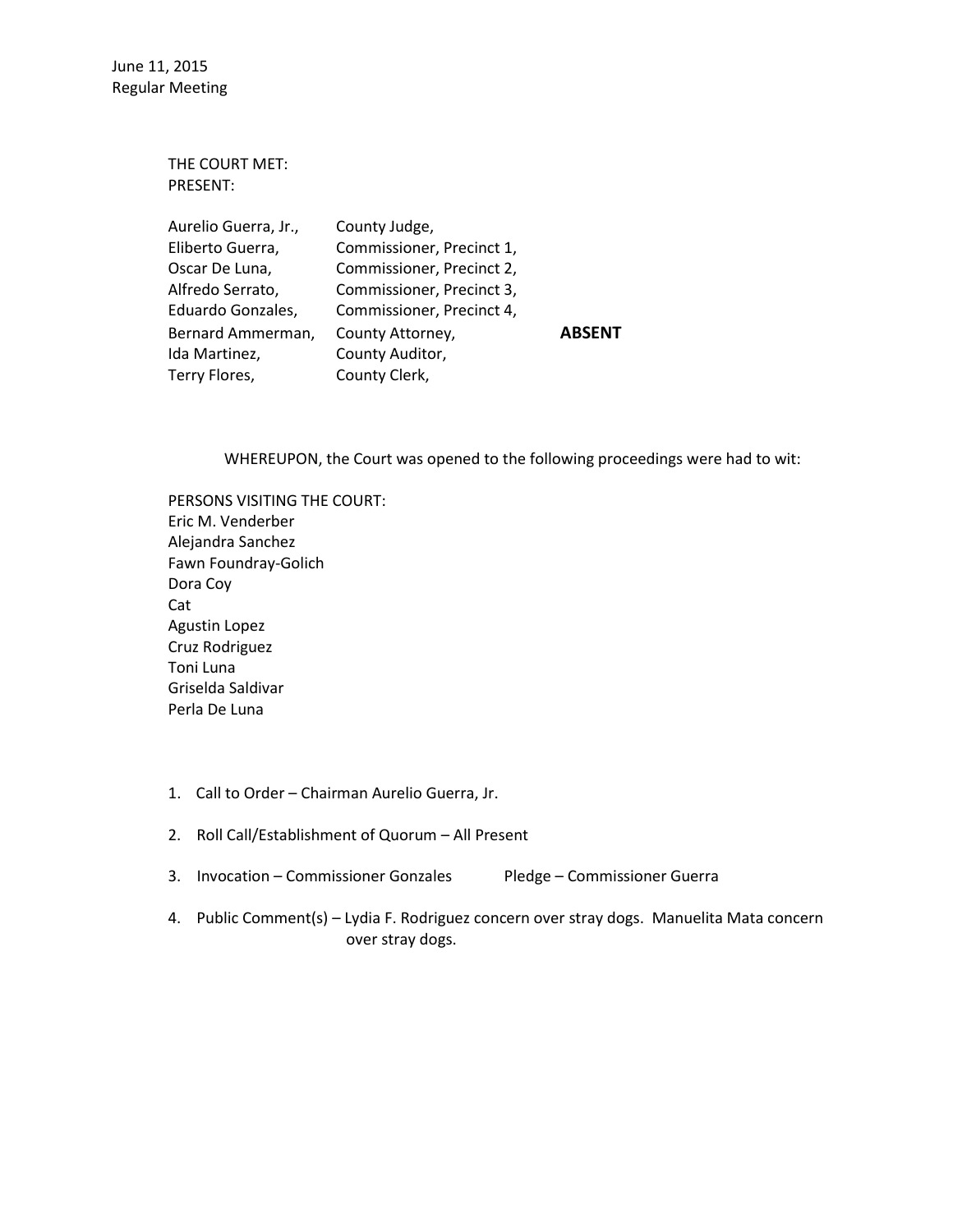> THE COURT MET: PRESENT: Aurelio Guerra, Jr., County Judge, Eliberto Guerra, Commissioner, Precinct 1, Oscar De Luna, Commissioner, Precinct 2, Alfredo Serrato, Commissioner, Precinct 3, Eduardo Gonzales, Commissioner, Precinct 4, Bernard Ammerman, County Attorney, **ABSENT** Ida Martinez, County Auditor, Terry Flores, County Clerk,

> > WHEREUPON, the Court was opened to the following proceedings were had to wit:

- PERSONS VISITING THE COURT: Eric M. Venderber Alejandra Sanchez Fawn Foundray-Golich Dora Coy Cat Agustin Lopez Cruz Rodriguez Toni Luna Griselda Saldivar Perla De Luna
- 1. Call to Order Chairman Aurelio Guerra, Jr.
- 2. Roll Call/Establishment of Quorum All Present
- 3. Invocation Commissioner Gonzales Pledge Commissioner Guerra
- 4. Public Comment(s) Lydia F. Rodriguez concern over stray dogs. Manuelita Mata concern over stray dogs.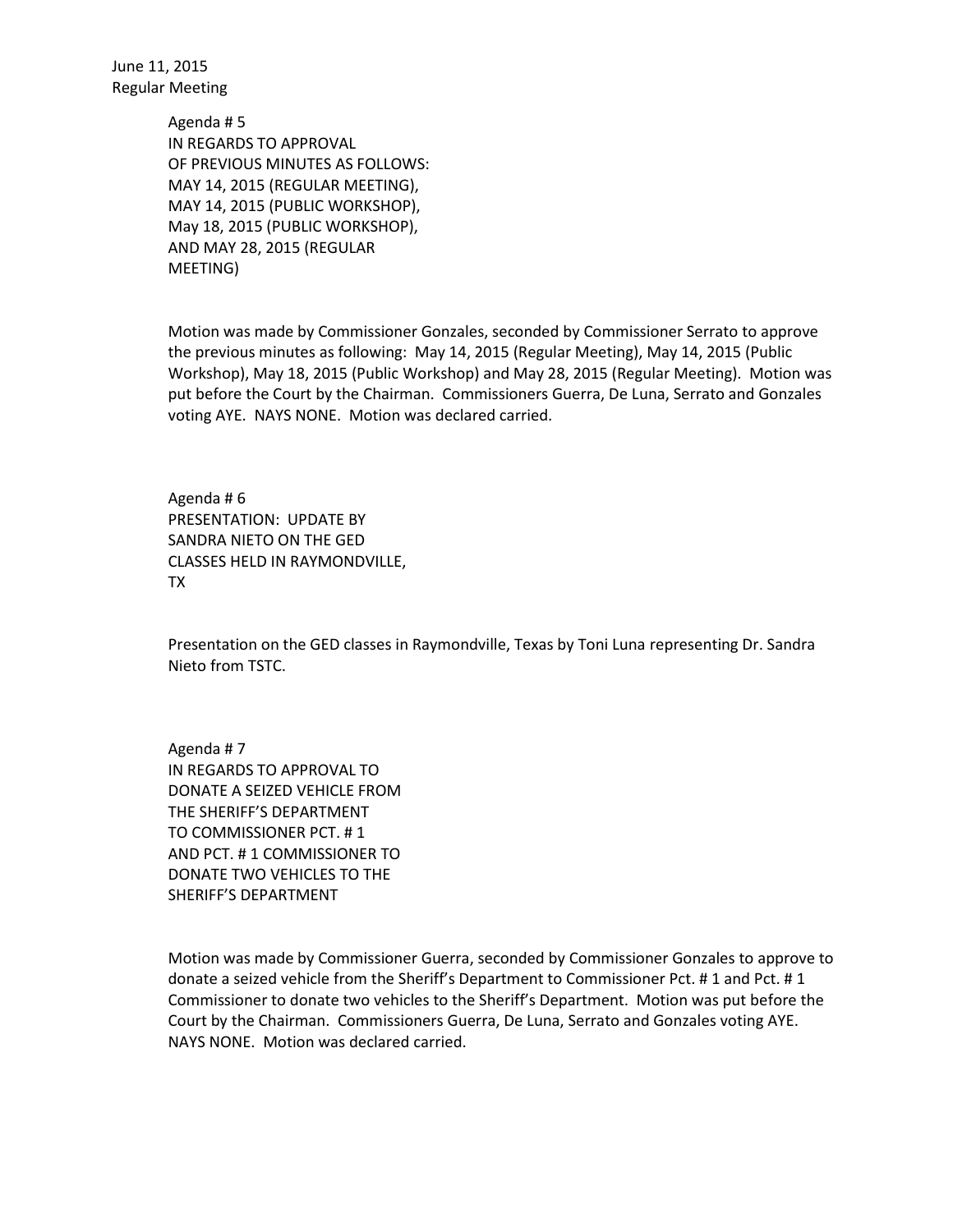> Agenda # 5 IN REGARDS TO APPROVAL OF PREVIOUS MINUTES AS FOLLOWS: MAY 14, 2015 (REGULAR MEETING), MAY 14, 2015 (PUBLIC WORKSHOP), May 18, 2015 (PUBLIC WORKSHOP), AND MAY 28, 2015 (REGULAR MEETING)

Motion was made by Commissioner Gonzales, seconded by Commissioner Serrato to approve the previous minutes as following: May 14, 2015 (Regular Meeting), May 14, 2015 (Public Workshop), May 18, 2015 (Public Workshop) and May 28, 2015 (Regular Meeting). Motion was put before the Court by the Chairman. Commissioners Guerra, De Luna, Serrato and Gonzales voting AYE. NAYS NONE. Motion was declared carried.

Agenda # 6 PRESENTATION: UPDATE BY SANDRA NIETO ON THE GED CLASSES HELD IN RAYMONDVILLE, TX

Presentation on the GED classes in Raymondville, Texas by Toni Luna representing Dr. Sandra Nieto from TSTC.

Agenda # 7 IN REGARDS TO APPROVAL TO DONATE A SEIZED VEHICLE FROM THE SHERIFF'S DEPARTMENT TO COMMISSIONER PCT. # 1 AND PCT. # 1 COMMISSIONER TO DONATE TWO VEHICLES TO THE SHERIFF'S DEPARTMENT

Motion was made by Commissioner Guerra, seconded by Commissioner Gonzales to approve to donate a seized vehicle from the Sheriff's Department to Commissioner Pct. # 1 and Pct. # 1 Commissioner to donate two vehicles to the Sheriff's Department. Motion was put before the Court by the Chairman. Commissioners Guerra, De Luna, Serrato and Gonzales voting AYE. NAYS NONE. Motion was declared carried.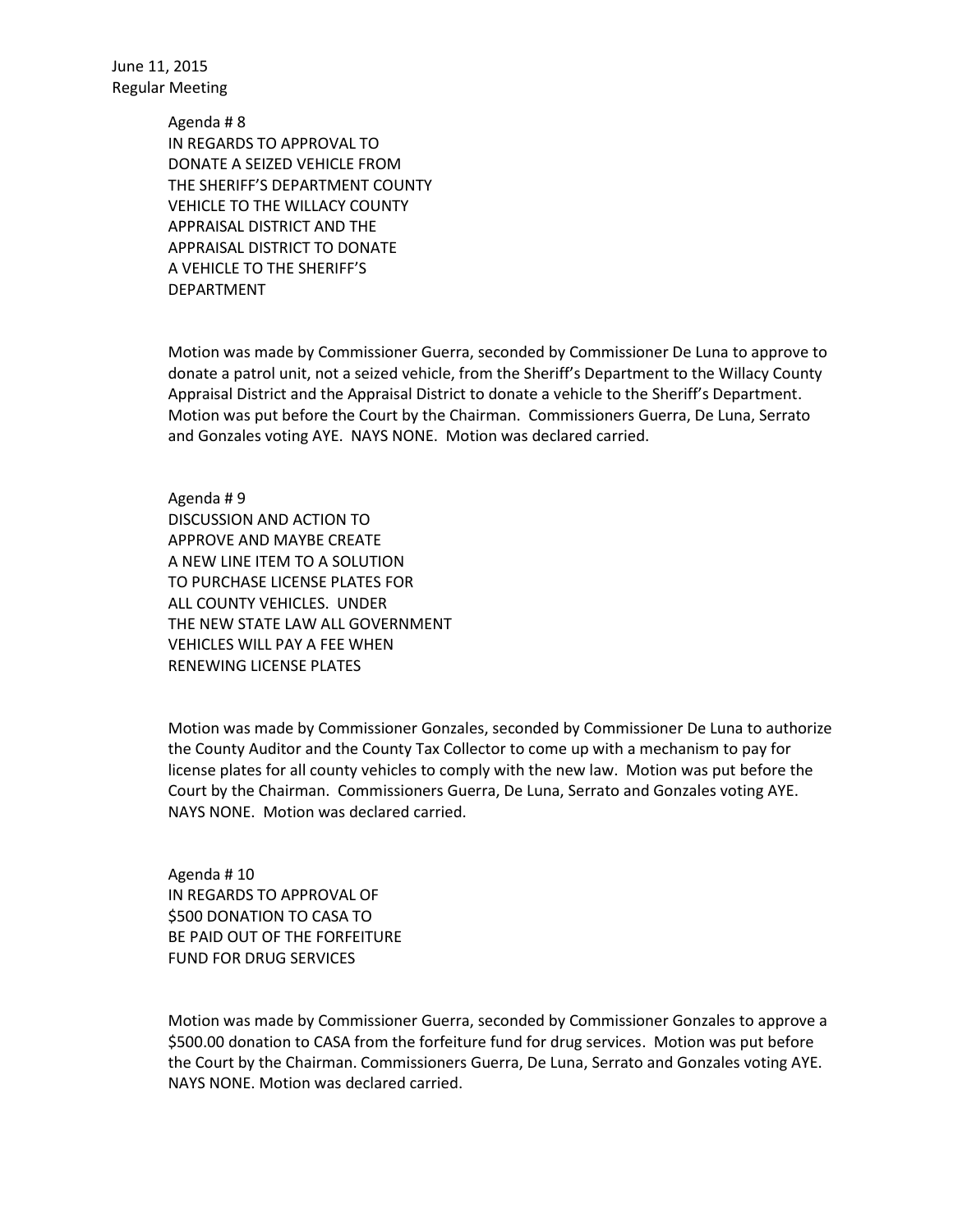> Agenda # 8 IN REGARDS TO APPROVAL TO DONATE A SEIZED VEHICLE FROM THE SHERIFF'S DEPARTMENT COUNTY VEHICLE TO THE WILLACY COUNTY APPRAISAL DISTRICT AND THE APPRAISAL DISTRICT TO DONATE A VEHICLE TO THE SHERIFF'S DEPARTMENT

Motion was made by Commissioner Guerra, seconded by Commissioner De Luna to approve to donate a patrol unit, not a seized vehicle, from the Sheriff's Department to the Willacy County Appraisal District and the Appraisal District to donate a vehicle to the Sheriff's Department. Motion was put before the Court by the Chairman. Commissioners Guerra, De Luna, Serrato and Gonzales voting AYE. NAYS NONE. Motion was declared carried.

Agenda # 9 DISCUSSION AND ACTION TO APPROVE AND MAYBE CREATE A NEW LINE ITEM TO A SOLUTION TO PURCHASE LICENSE PLATES FOR ALL COUNTY VEHICLES. UNDER THE NEW STATE LAW ALL GOVERNMENT VEHICLES WILL PAY A FEE WHEN RENEWING LICENSE PLATES

Motion was made by Commissioner Gonzales, seconded by Commissioner De Luna to authorize the County Auditor and the County Tax Collector to come up with a mechanism to pay for license plates for all county vehicles to comply with the new law. Motion was put before the Court by the Chairman. Commissioners Guerra, De Luna, Serrato and Gonzales voting AYE. NAYS NONE. Motion was declared carried.

Agenda # 10 IN REGARDS TO APPROVAL OF \$500 DONATION TO CASA TO BE PAID OUT OF THE FORFEITURE FUND FOR DRUG SERVICES

Motion was made by Commissioner Guerra, seconded by Commissioner Gonzales to approve a \$500.00 donation to CASA from the forfeiture fund for drug services. Motion was put before the Court by the Chairman. Commissioners Guerra, De Luna, Serrato and Gonzales voting AYE. NAYS NONE. Motion was declared carried.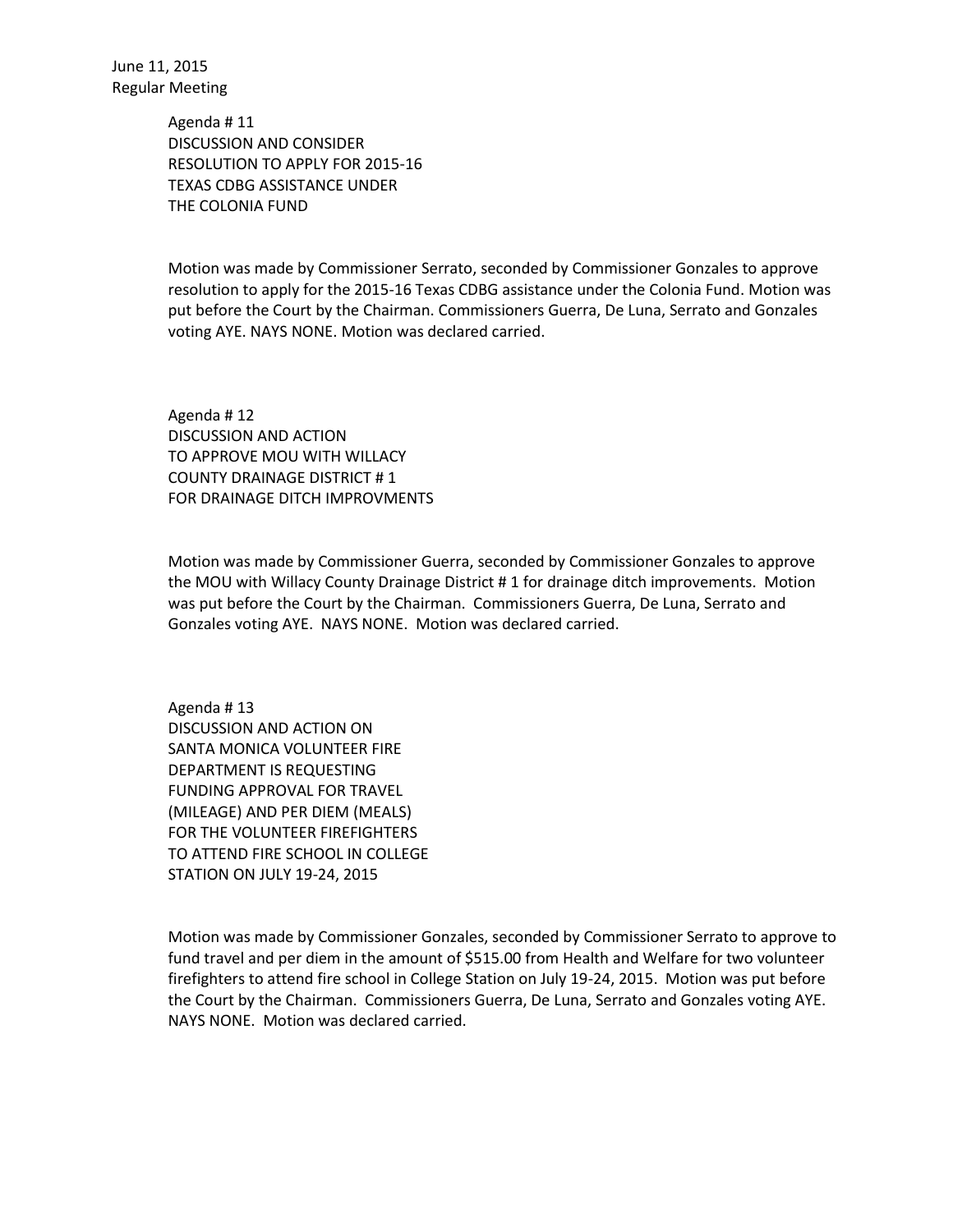> Agenda # 11 DISCUSSION AND CONSIDER RESOLUTION TO APPLY FOR 2015-16 TEXAS CDBG ASSISTANCE UNDER THE COLONIA FUND

Motion was made by Commissioner Serrato, seconded by Commissioner Gonzales to approve resolution to apply for the 2015-16 Texas CDBG assistance under the Colonia Fund. Motion was put before the Court by the Chairman. Commissioners Guerra, De Luna, Serrato and Gonzales voting AYE. NAYS NONE. Motion was declared carried.

Agenda # 12 DISCUSSION AND ACTION TO APPROVE MOU WITH WILLACY COUNTY DRAINAGE DISTRICT # 1 FOR DRAINAGE DITCH IMPROVMENTS

Motion was made by Commissioner Guerra, seconded by Commissioner Gonzales to approve the MOU with Willacy County Drainage District # 1 for drainage ditch improvements. Motion was put before the Court by the Chairman. Commissioners Guerra, De Luna, Serrato and Gonzales voting AYE. NAYS NONE. Motion was declared carried.

Agenda # 13 DISCUSSION AND ACTION ON SANTA MONICA VOLUNTEER FIRE DEPARTMENT IS REQUESTING FUNDING APPROVAL FOR TRAVEL (MILEAGE) AND PER DIEM (MEALS) FOR THE VOLUNTEER FIREFIGHTERS TO ATTEND FIRE SCHOOL IN COLLEGE STATION ON JULY 19-24, 2015

Motion was made by Commissioner Gonzales, seconded by Commissioner Serrato to approve to fund travel and per diem in the amount of \$515.00 from Health and Welfare for two volunteer firefighters to attend fire school in College Station on July 19-24, 2015. Motion was put before the Court by the Chairman. Commissioners Guerra, De Luna, Serrato and Gonzales voting AYE. NAYS NONE. Motion was declared carried.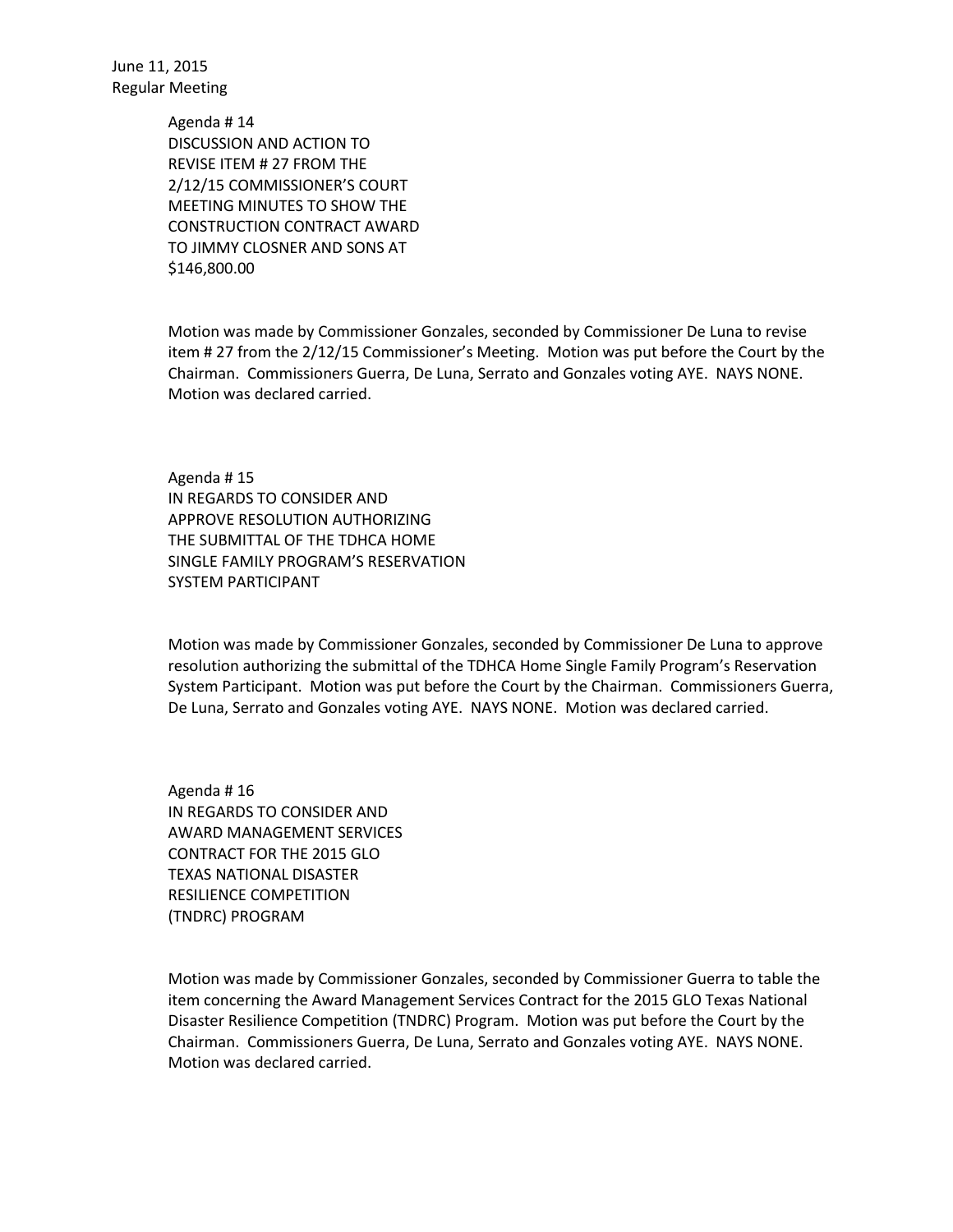> Agenda # 14 DISCUSSION AND ACTION TO REVISE ITEM # 27 FROM THE 2/12/15 COMMISSIONER'S COURT MEETING MINUTES TO SHOW THE CONSTRUCTION CONTRACT AWARD TO JIMMY CLOSNER AND SONS AT \$146,800.00

Motion was made by Commissioner Gonzales, seconded by Commissioner De Luna to revise item # 27 from the 2/12/15 Commissioner's Meeting. Motion was put before the Court by the Chairman. Commissioners Guerra, De Luna, Serrato and Gonzales voting AYE. NAYS NONE. Motion was declared carried.

Agenda # 15 IN REGARDS TO CONSIDER AND APPROVE RESOLUTION AUTHORIZING THE SUBMITTAL OF THE TDHCA HOME SINGLE FAMILY PROGRAM'S RESERVATION SYSTEM PARTICIPANT

Motion was made by Commissioner Gonzales, seconded by Commissioner De Luna to approve resolution authorizing the submittal of the TDHCA Home Single Family Program's Reservation System Participant. Motion was put before the Court by the Chairman. Commissioners Guerra, De Luna, Serrato and Gonzales voting AYE. NAYS NONE. Motion was declared carried.

Agenda # 16 IN REGARDS TO CONSIDER AND AWARD MANAGEMENT SERVICES CONTRACT FOR THE 2015 GLO TEXAS NATIONAL DISASTER RESILIENCE COMPETITION (TNDRC) PROGRAM

Motion was made by Commissioner Gonzales, seconded by Commissioner Guerra to table the item concerning the Award Management Services Contract for the 2015 GLO Texas National Disaster Resilience Competition (TNDRC) Program. Motion was put before the Court by the Chairman. Commissioners Guerra, De Luna, Serrato and Gonzales voting AYE. NAYS NONE. Motion was declared carried.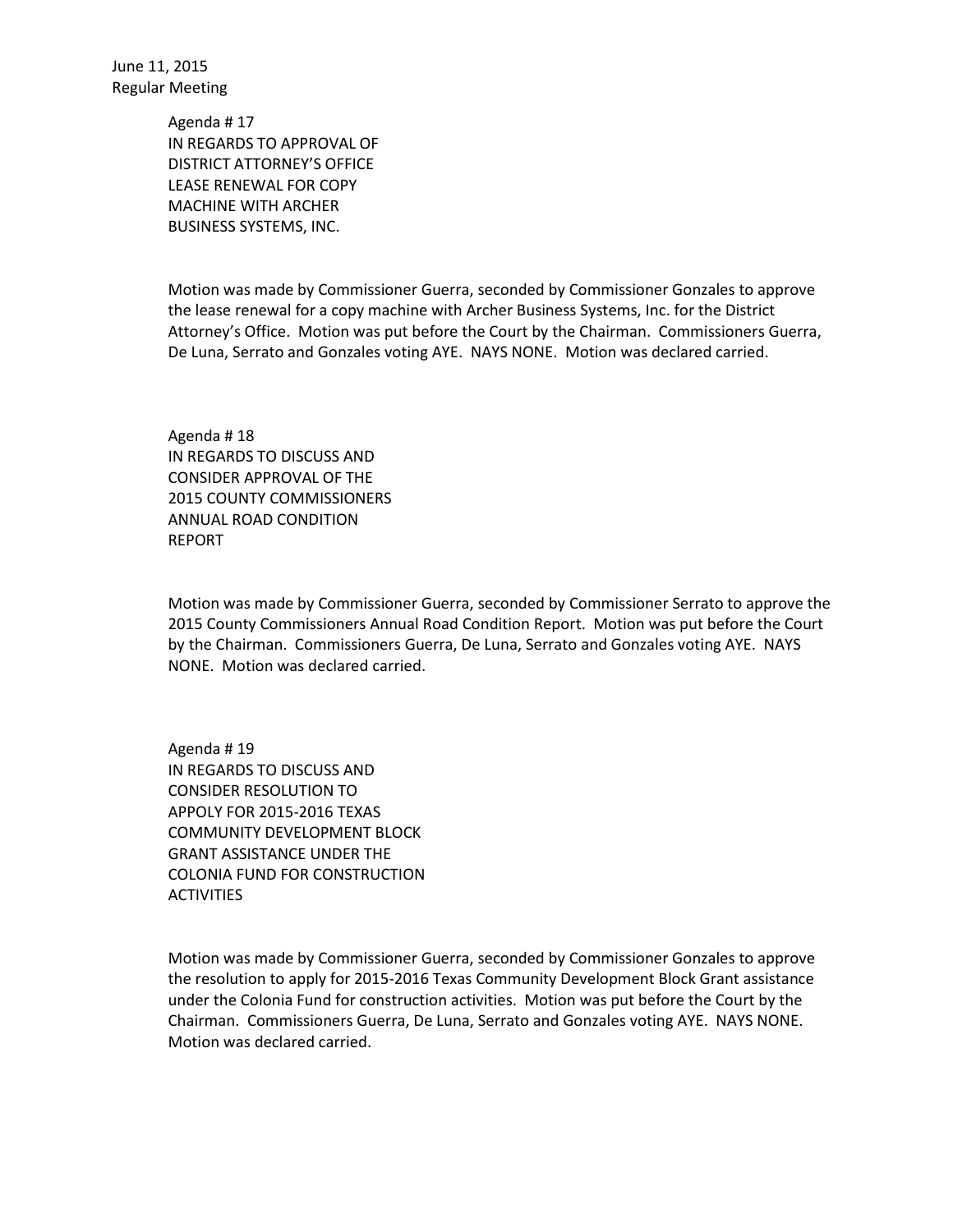> Agenda # 17 IN REGARDS TO APPROVAL OF DISTRICT ATTORNEY'S OFFICE LEASE RENEWAL FOR COPY MACHINE WITH ARCHER BUSINESS SYSTEMS, INC.

Motion was made by Commissioner Guerra, seconded by Commissioner Gonzales to approve the lease renewal for a copy machine with Archer Business Systems, Inc. for the District Attorney's Office. Motion was put before the Court by the Chairman. Commissioners Guerra, De Luna, Serrato and Gonzales voting AYE. NAYS NONE. Motion was declared carried.

Agenda # 18 IN REGARDS TO DISCUSS AND CONSIDER APPROVAL OF THE 2015 COUNTY COMMISSIONERS ANNUAL ROAD CONDITION REPORT

Motion was made by Commissioner Guerra, seconded by Commissioner Serrato to approve the 2015 County Commissioners Annual Road Condition Report. Motion was put before the Court by the Chairman. Commissioners Guerra, De Luna, Serrato and Gonzales voting AYE. NAYS NONE. Motion was declared carried.

Agenda # 19 IN REGARDS TO DISCUSS AND CONSIDER RESOLUTION TO APPOLY FOR 2015-2016 TEXAS COMMUNITY DEVELOPMENT BLOCK GRANT ASSISTANCE UNDER THE COLONIA FUND FOR CONSTRUCTION ACTIVITIES

Motion was made by Commissioner Guerra, seconded by Commissioner Gonzales to approve the resolution to apply for 2015-2016 Texas Community Development Block Grant assistance under the Colonia Fund for construction activities. Motion was put before the Court by the Chairman. Commissioners Guerra, De Luna, Serrato and Gonzales voting AYE. NAYS NONE. Motion was declared carried.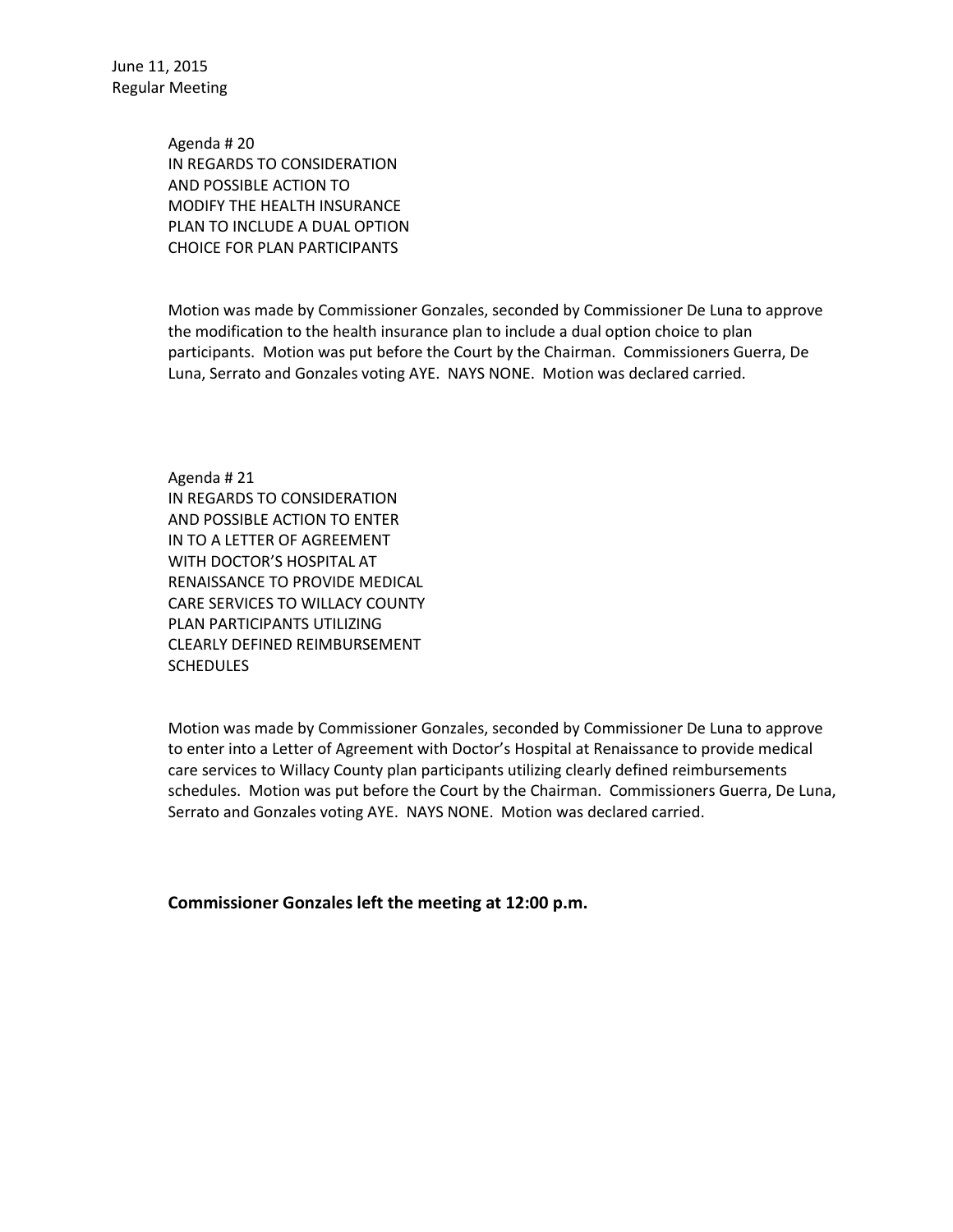> Agenda # 20 IN REGARDS TO CONSIDERATION AND POSSIBLE ACTION TO MODIFY THE HEALTH INSURANCE PLAN TO INCLUDE A DUAL OPTION CHOICE FOR PLAN PARTICIPANTS

Motion was made by Commissioner Gonzales, seconded by Commissioner De Luna to approve the modification to the health insurance plan to include a dual option choice to plan participants. Motion was put before the Court by the Chairman. Commissioners Guerra, De Luna, Serrato and Gonzales voting AYE. NAYS NONE. Motion was declared carried.

Agenda # 21 IN REGARDS TO CONSIDERATION AND POSSIBLE ACTION TO ENTER IN TO A LETTER OF AGREEMENT WITH DOCTOR'S HOSPITAL AT RENAISSANCE TO PROVIDE MEDICAL CARE SERVICES TO WILLACY COUNTY PLAN PARTICIPANTS UTILIZING CLEARLY DEFINED REIMBURSEMENT **SCHEDULES** 

Motion was made by Commissioner Gonzales, seconded by Commissioner De Luna to approve to enter into a Letter of Agreement with Doctor's Hospital at Renaissance to provide medical care services to Willacy County plan participants utilizing clearly defined reimbursements schedules. Motion was put before the Court by the Chairman. Commissioners Guerra, De Luna, Serrato and Gonzales voting AYE. NAYS NONE. Motion was declared carried.

**Commissioner Gonzales left the meeting at 12:00 p.m.**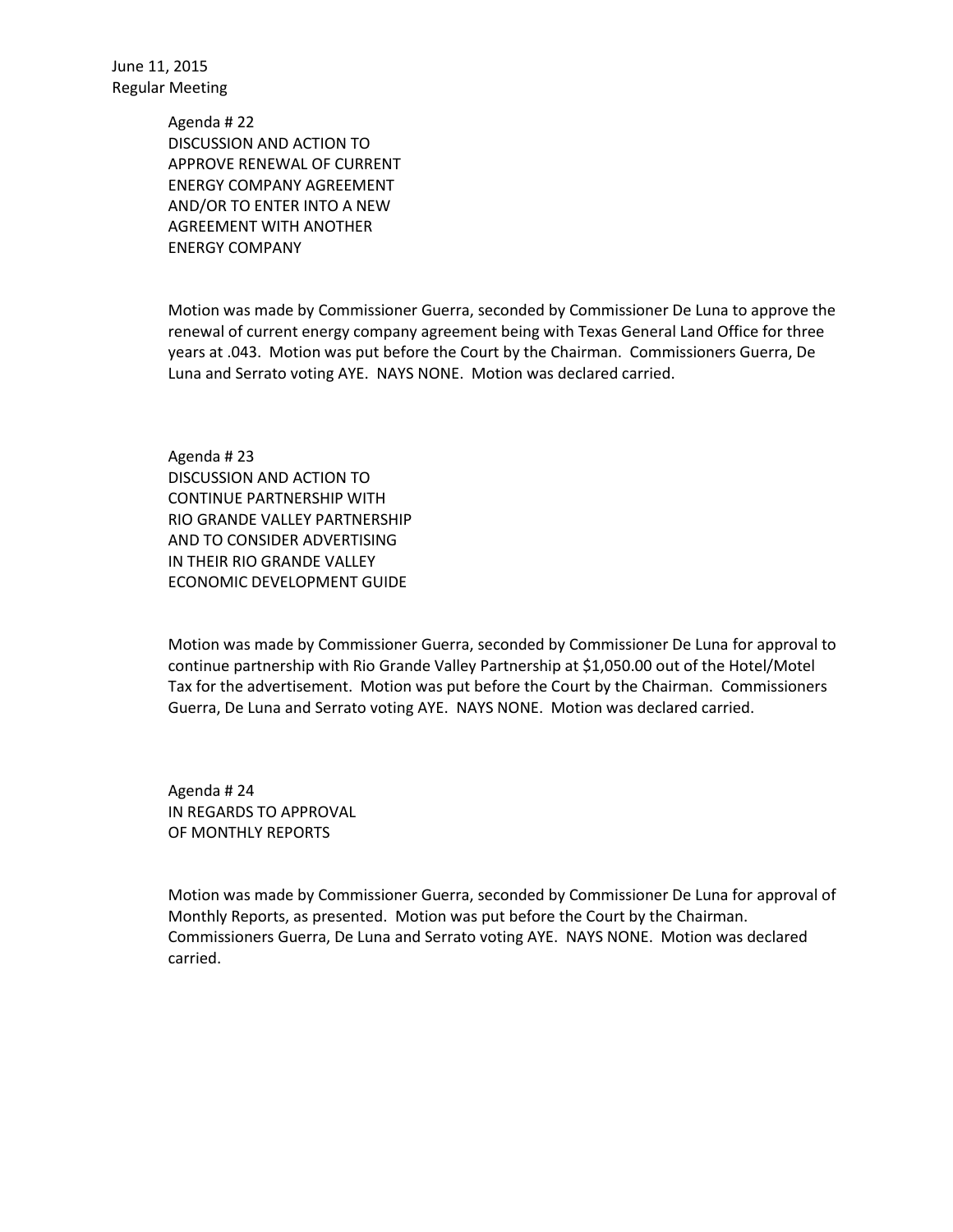> Agenda # 22 DISCUSSION AND ACTION TO APPROVE RENEWAL OF CURRENT ENERGY COMPANY AGREEMENT AND/OR TO ENTER INTO A NEW AGREEMENT WITH ANOTHER ENERGY COMPANY

Motion was made by Commissioner Guerra, seconded by Commissioner De Luna to approve the renewal of current energy company agreement being with Texas General Land Office for three years at .043. Motion was put before the Court by the Chairman. Commissioners Guerra, De Luna and Serrato voting AYE. NAYS NONE. Motion was declared carried.

Agenda # 23 DISCUSSION AND ACTION TO CONTINUE PARTNERSHIP WITH RIO GRANDE VALLEY PARTNERSHIP AND TO CONSIDER ADVERTISING IN THEIR RIO GRANDE VALLEY ECONOMIC DEVELOPMENT GUIDE

Motion was made by Commissioner Guerra, seconded by Commissioner De Luna for approval to continue partnership with Rio Grande Valley Partnership at \$1,050.00 out of the Hotel/Motel Tax for the advertisement. Motion was put before the Court by the Chairman. Commissioners Guerra, De Luna and Serrato voting AYE. NAYS NONE. Motion was declared carried.

Agenda # 24 IN REGARDS TO APPROVAL OF MONTHLY REPORTS

Motion was made by Commissioner Guerra, seconded by Commissioner De Luna for approval of Monthly Reports, as presented. Motion was put before the Court by the Chairman. Commissioners Guerra, De Luna and Serrato voting AYE. NAYS NONE. Motion was declared carried.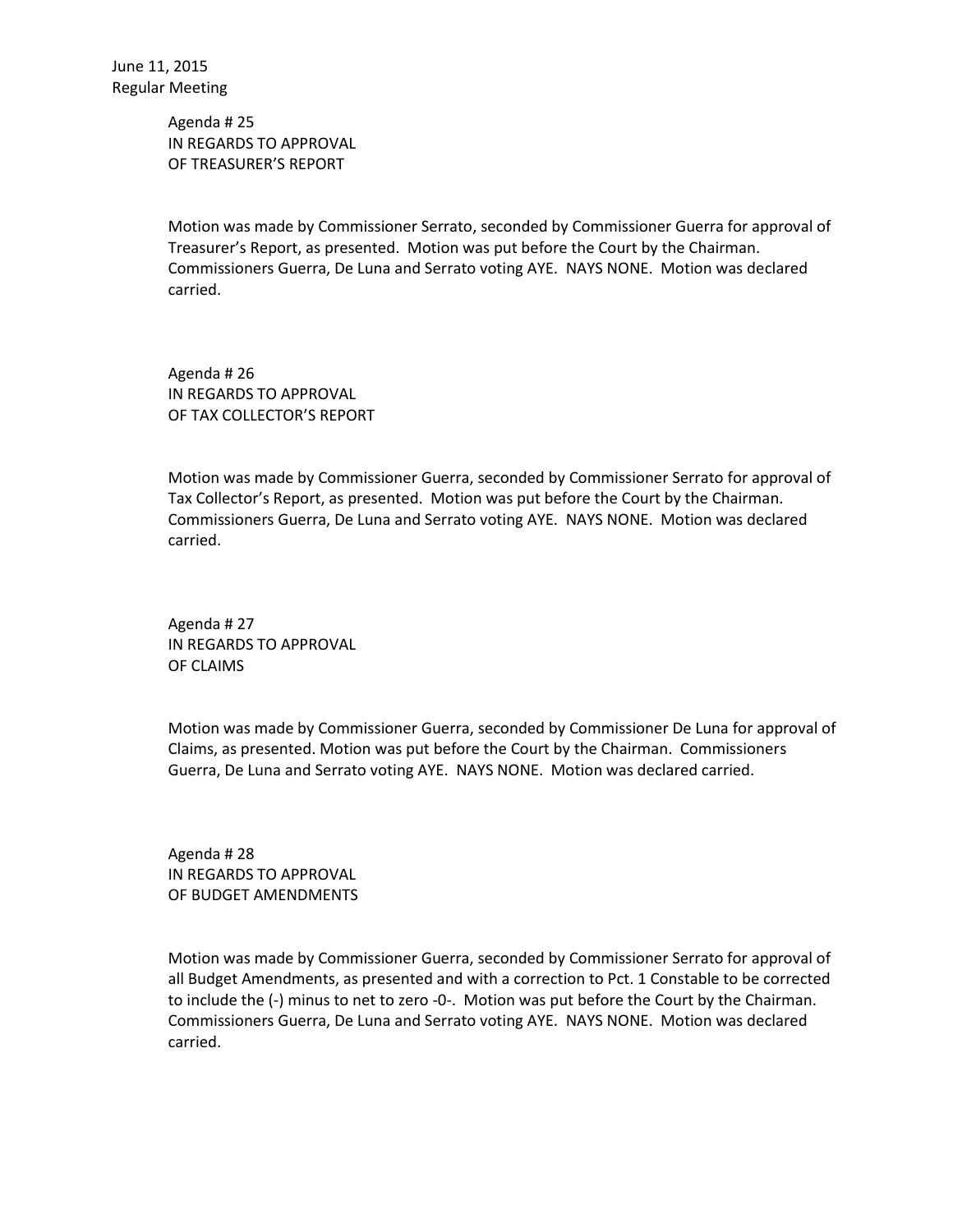Agenda # 25 IN REGARDS TO APPROVAL OF TREASURER'S REPORT

Motion was made by Commissioner Serrato, seconded by Commissioner Guerra for approval of Treasurer's Report, as presented. Motion was put before the Court by the Chairman. Commissioners Guerra, De Luna and Serrato voting AYE. NAYS NONE. Motion was declared carried.

Agenda # 26 IN REGARDS TO APPROVAL OF TAX COLLECTOR'S REPORT

Motion was made by Commissioner Guerra, seconded by Commissioner Serrato for approval of Tax Collector's Report, as presented. Motion was put before the Court by the Chairman. Commissioners Guerra, De Luna and Serrato voting AYE. NAYS NONE. Motion was declared carried.

Agenda # 27 IN REGARDS TO APPROVAL OF CLAIMS

Motion was made by Commissioner Guerra, seconded by Commissioner De Luna for approval of Claims, as presented. Motion was put before the Court by the Chairman. Commissioners Guerra, De Luna and Serrato voting AYE. NAYS NONE. Motion was declared carried.

Agenda # 28 IN REGARDS TO APPROVAL OF BUDGET AMENDMENTS

Motion was made by Commissioner Guerra, seconded by Commissioner Serrato for approval of all Budget Amendments, as presented and with a correction to Pct. 1 Constable to be corrected to include the (-) minus to net to zero -0-. Motion was put before the Court by the Chairman. Commissioners Guerra, De Luna and Serrato voting AYE. NAYS NONE. Motion was declared carried.